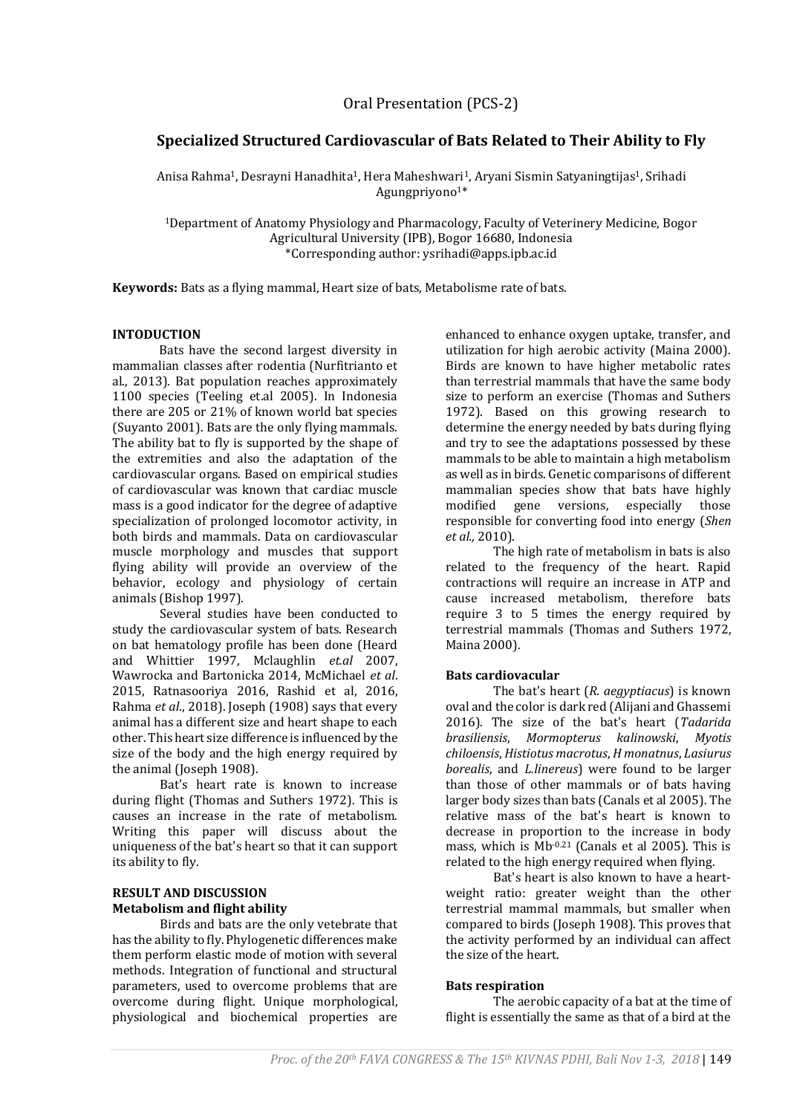# **Specialized Structured Cardiovascular of Bats Related to Their Ability to Fly**

Anisa Rahma<sup>1</sup>, Desrayni Hanadhita<sup>1</sup>, Hera Maheshwari<sup>1</sup>, Aryani Sismin Satyaningtijas<sup>1</sup>, Srihadi Agungpriyono<sup>1\*</sup>

<sup>1</sup>Department of Anatomy Physiology and Pharmacology, Faculty of Veterinery Medicine, Bogor Agricultural University (IPB), Bogor 16680, Indonesia \*Corresponding author: ysrihadi@apps.ipb.ac.id

**Keywords:** Bats as a flying mammal, Heart size of bats, Metabolisme rate of bats.

#### **INTODUCTION**

Bats have the second largest diversity in mammalian classes after rodentia (Nurfitrianto et al., 2013). Bat population reaches approximately 1100 species (Teeling et.al 2005). In Indonesia there are 205 or 21% of known world bat species (Suyanto 2001). Bats are the only flying mammals. The ability bat to fly is supported by the shape of the extremities and also the adaptation of the cardiovascular organs. Based on empirical studies of cardiovascular was known that cardiac muscle mass is a good indicator for the degree of adaptive specialization of prolonged locomotor activity, in both birds and mammals. Data on cardiovascular muscle morphology and muscles that support flying ability will provide an overview of the behavior, ecology and physiology of certain animals (Bishop 1997).

Several studies have been conducted to study the cardiovascular system of bats. Research on bat hematology profile has been done (Heard and Whittier 1997, Mclaughlin *et.al* 2007, Wawrocka and Bartonicka 2014, McMichael *et al*. 2015, Ratnasooriya 2016, Rashid et al, 2016, Rahma *et al*., 2018). Joseph (1908) says that every animal has a different size and heart shape to each other. This heart size difference is influenced by the size of the body and the high energy required by the animal (Joseph 1908).

Bat's heart rate is known to increase during flight (Thomas and Suthers 1972). This is causes an increase in the rate of metabolism. Writing this paper will discuss about the uniqueness of the bat's heart so that it can support its ability to fly.

## **RESULT AND DISCUSSION Metabolism and flight ability**

Birds and bats are the only vetebrate that has the ability to fly. Phylogenetic differences make them perform elastic mode of motion with several methods. Integration of functional and structural parameters, used to overcome problems that are overcome during flight. Unique morphological, physiological and biochemical properties are

enhanced to enhance oxygen uptake, transfer, and utilization for high aerobic activity (Maina 2000). Birds are known to have higher metabolic rates than terrestrial mammals that have the same body size to perform an exercise (Thomas and Suthers 1972). Based on this growing research to determine the energy needed by bats during flying and try to see the adaptations possessed by these mammals to be able to maintain a high metabolism as well as in birds. Genetic comparisons of different mammalian species show that bats have highly modified gene versions, especially those responsible for converting food into energy (*Shen et al.,* 2010).

The high rate of metabolism in bats is also related to the frequency of the heart. Rapid contractions will require an increase in ATP and cause increased metabolism, therefore bats require 3 to 5 times the energy required by terrestrial mammals (Thomas and Suthers 1972, Maina 2000).

#### **Bats cardiovacular**

The bat's heart (*R. aegyptiacus*) is known oval and the color is dark red (Alijani and Ghassemi 2016). The size of the bat's heart (*Tadarida brasiliensis*, *Mormopterus kalinowski*, *Myotis chiloensis*, *Histiotus macrotus*, *H monatnus*, *Lasiurus borealis*, and *L.linereus*) were found to be larger than those of other mammals or of bats having larger body sizes than bats (Canals et al 2005). The relative mass of the bat's heart is known to decrease in proportion to the increase in body mass, which is Mb<sup>-0.21</sup> (Canals et al 2005). This is related to the high energy required when flying.

Bat's heart is also known to have a heartweight ratio: greater weight than the other terrestrial mammal mammals, but smaller when compared to birds (Joseph 1908). This proves that the activity performed by an individual can affect the size of the heart.

#### **Bats respiration**

The aerobic capacity of a bat at the time of flight is essentially the same as that of a bird at the